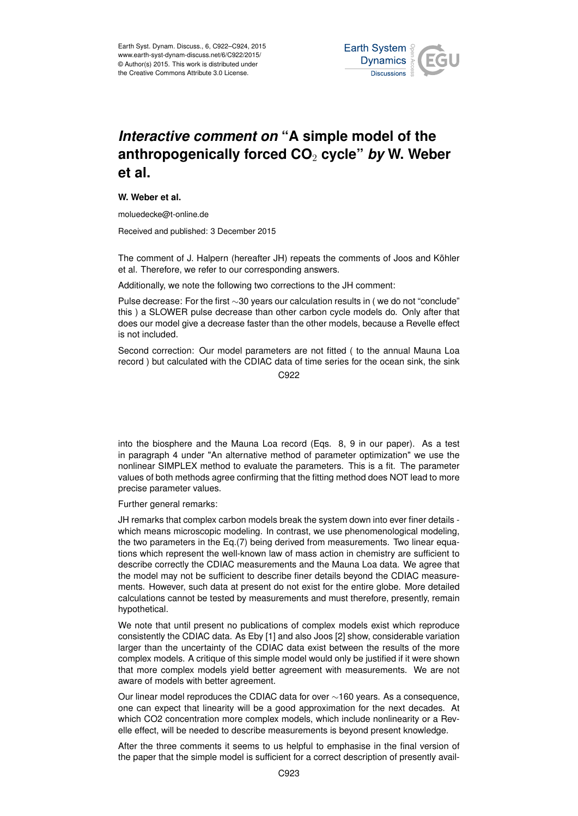

## *Interactive comment on* **"A simple model of the anthropogenically forced CO**<sup>2</sup> **cycle"** *by* **W. Weber et al.**

## **W. Weber et al.**

moluedecke@t-online.de

Received and published: 3 December 2015

The comment of J. Halpern (hereafter JH) repeats the comments of Joos and Köhler et al. Therefore, we refer to our corresponding answers.

Additionally, we note the following two corrections to the JH comment:

Pulse decrease: For the first ∼30 years our calculation results in ( we do not "conclude" this ) a SLOWER pulse decrease than other carbon cycle models do. Only after that does our model give a decrease faster than the other models, because a Revelle effect is not included.

Second correction: Our model parameters are not fitted ( to the annual Mauna Loa record ) but calculated with the CDIAC data of time series for the ocean sink, the sink

C922

into the biosphere and the Mauna Loa record (Eqs. 8, 9 in our paper). As a test in paragraph 4 under "An alternative method of parameter optimization" we use the nonlinear SIMPLEX method to evaluate the parameters. This is a fit. The parameter values of both methods agree confirming that the fitting method does NOT lead to more precise parameter values.

Further general remarks:

JH remarks that complex carbon models break the system down into ever finer details which means microscopic modeling. In contrast, we use phenomenological modeling, the two parameters in the Eq.(7) being derived from measurements. Two linear equations which represent the well-known law of mass action in chemistry are sufficient to describe correctly the CDIAC measurements and the Mauna Loa data. We agree that the model may not be sufficient to describe finer details beyond the CDIAC measurements. However, such data at present do not exist for the entire globe. More detailed calculations cannot be tested by measurements and must therefore, presently, remain hypothetical.

We note that until present no publications of complex models exist which reproduce consistently the CDIAC data. As Eby [1] and also Joos [2] show, considerable variation larger than the uncertainty of the CDIAC data exist between the results of the more complex models. A critique of this simple model would only be justified if it were shown that more complex models yield better agreement with measurements. We are not aware of models with better agreement.

Our linear model reproduces the CDIAC data for over ∼160 years. As a consequence, one can expect that linearity will be a good approximation for the next decades. At which CO2 concentration more complex models, which include nonlinearity or a Revelle effect, will be needed to describe measurements is beyond present knowledge.

After the three comments it seems to us helpful to emphasise in the final version of the paper that the simple model is sufficient for a correct description of presently avail